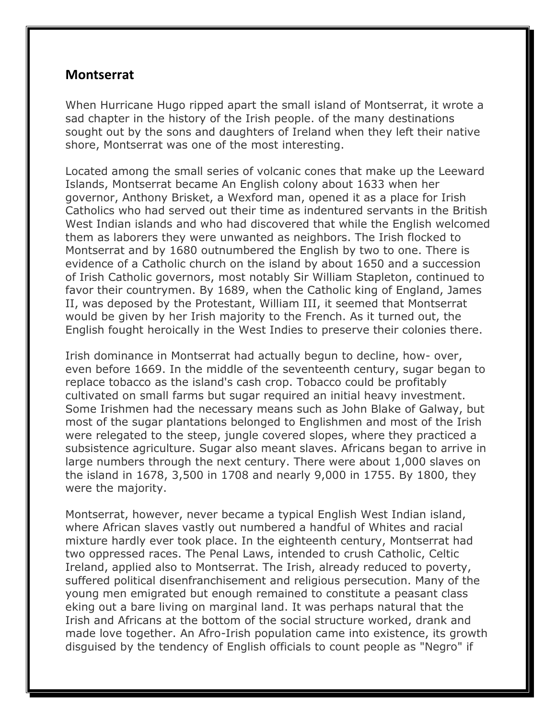## **Montserrat**

When Hurricane Hugo ripped apart the small island of Montserrat, it wrote a sad chapter in the history of the Irish people. of the many destinations sought out by the sons and daughters of Ireland when they left their native shore, Montserrat was one of the most interesting.

Located among the small series of volcanic cones that make up the Leeward Islands, Montserrat became An English colony about 1633 when her governor, Anthony Brisket, a Wexford man, opened it as a place for Irish Catholics who had served out their time as indentured servants in the British West Indian islands and who had discovered that while the English welcomed them as laborers they were unwanted as neighbors. The Irish flocked to Montserrat and by 1680 outnumbered the English by two to one. There is evidence of a Catholic church on the island by about 1650 and a succession of Irish Catholic governors, most notably Sir William Stapleton, continued to favor their countrymen. By 1689, when the Catholic king of England, James II, was deposed by the Protestant, William III, it seemed that Montserrat would be given by her Irish majority to the French. As it turned out, the English fought heroically in the West Indies to preserve their colonies there.

Irish dominance in Montserrat had actually begun to decline, how- over, even before 1669. In the middle of the seventeenth century, sugar began to replace tobacco as the island's cash crop. Tobacco could be profitably cultivated on small farms but sugar required an initial heavy investment. Some Irishmen had the necessary means such as John Blake of Galway, but most of the sugar plantations belonged to Englishmen and most of the Irish were relegated to the steep, jungle covered slopes, where they practiced a subsistence agriculture. Sugar also meant slaves. Africans began to arrive in large numbers through the next century. There were about 1,000 slaves on the island in 1678, 3,500 in 1708 and nearly 9,000 in 1755. By 1800, they were the majority.

Montserrat, however, never became a typical English West Indian island, where African slaves vastly out numbered a handful of Whites and racial mixture hardly ever took place. In the eighteenth century, Montserrat had two oppressed races. The Penal Laws, intended to crush Catholic, Celtic Ireland, applied also to Montserrat. The Irish, already reduced to poverty, suffered political disenfranchisement and religious persecution. Many of the young men emigrated but enough remained to constitute a peasant class eking out a bare living on marginal land. It was perhaps natural that the Irish and Africans at the bottom of the social structure worked, drank and made love together. An Afro-Irish population came into existence, its growth disguised by the tendency of English officials to count people as "Negro" if